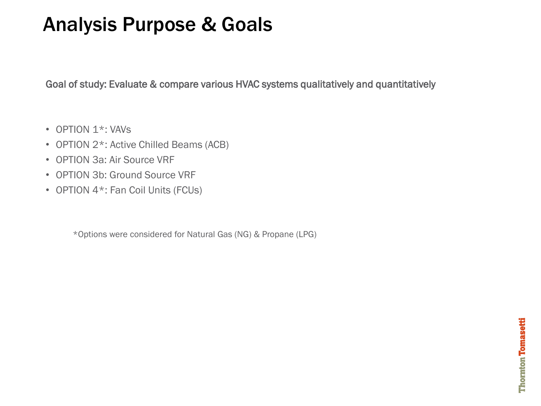## Analysis Purpose & Goals

Goal of study: Evaluate & compare various HVAC systems qualitatively and quantitatively

- OPTION 1<sup>\*</sup>: VAVs
- OPTION 2\*: Active Chilled Beams (ACB)
- OPTION 3a: Air Source VRF
- OPTION 3b: Ground Source VRF
- OPTION 4\*: Fan Coil Units (FCUs)

\*Options were considered for Natural Gas (NG) & Propane (LPG)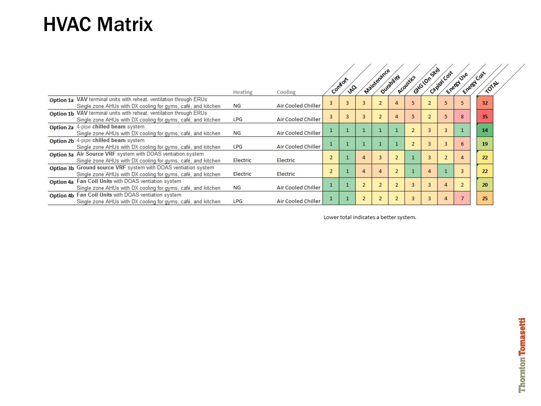## HVAC Matrix

|                                                                                                                                    |                |                           |                |                      |   | Maintenance |                          |           | Gyla longite) | Capital Cost   | Emergy Use   | Emergy Cost |       |
|------------------------------------------------------------------------------------------------------------------------------------|----------------|---------------------------|----------------|----------------------|---|-------------|--------------------------|-----------|---------------|----------------|--------------|-------------|-------|
|                                                                                                                                    | <b>Heating</b> | Cooling                   |                | Combon<br>$\sqrt{6}$ |   |             | Quicklitt                | Acoustics |               |                |              |             | TOTAL |
| Option 1a VAV terminal units with reheat, ventilation through ERUs<br>Single zone AHUs with DX cooling for gyms, café, and kitchen | NG             | <b>Air Cooled Chiller</b> | $\overline{3}$ |                      |   |             |                          | 5         |               | 5              |              | 32          |       |
| Option 1b VAV terminal units with reheat, ventilation through ERUs<br>Single zone AHUs with DX cooling for gyms, café, and kitchen | LPG            | Air Cooled Chiller        | 3              |                      |   |             | Δ                        | 5         |               | 5              |              | 35          |       |
| Option 2a 4-pipe chilled beam system<br>Single zone AHUs with DX cooling for gyms, café, and kitchen                               | NG             | <b>Air Cooled Chiller</b> |                |                      |   |             |                          |           |               | $\overline{3}$ |              | 14          |       |
| Option 2b 4-pipe chilled beam system<br>Single zone AHUs with DX cooling for gyms, café, and kitchen                               | <b>LPG</b>     | <b>Air Cooled Chiller</b> |                |                      |   |             |                          |           |               | 3              |              | 19          |       |
| Option 3a Air Source VRF system with DOAS ventiation system<br>Single zone AHUs with DX cooling for gyms, café, and kitchen        | Electric       | Electric                  | $\overline{2}$ |                      |   |             | $\overline{\phantom{a}}$ |           |               | $\overline{2}$ | $\mathbf{A}$ | 22          |       |
| Option 3b Ground source VRF system with DOAS ventiation system<br>Single zone AHUs with DX cooling for gyms, café, and kitchen     | Electric       | Electric                  | $\overline{2}$ |                      | 4 |             |                          |           | 4             |                |              | 22          |       |
| Option 4a Fan Coil Units with DOAS ventiation system<br>Single zone AHUs with DX cooling for gyms, café, and kitchen               | NG             | Air Cooled Chiller        |                |                      |   |             |                          | 3         |               | $\Delta$       |              | 20          |       |
| Option 4b Fan Coil Units with DOAS ventiation system<br>Single zone AHUs with DX cooling for gyms, café, and kitchen               | <b>LPG</b>     | <b>Air Cooled Chiller</b> |                |                      |   |             |                          | 3         |               | 4              |              | 25          |       |

Lower total indicates a better system.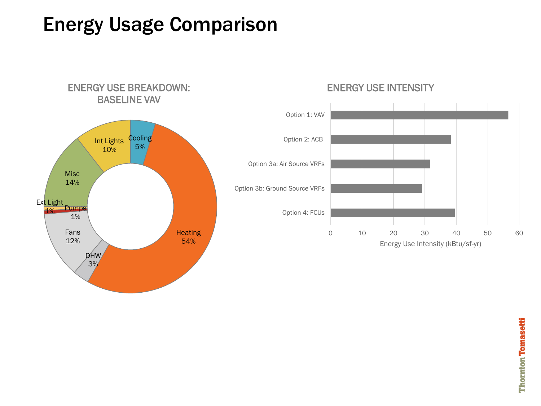## Energy Usage Comparison



#### ENERGY USE INTENSITY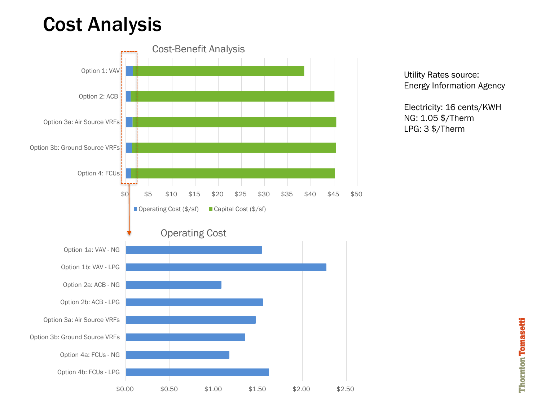## Cost Analysis



**Thornton Tomasetti**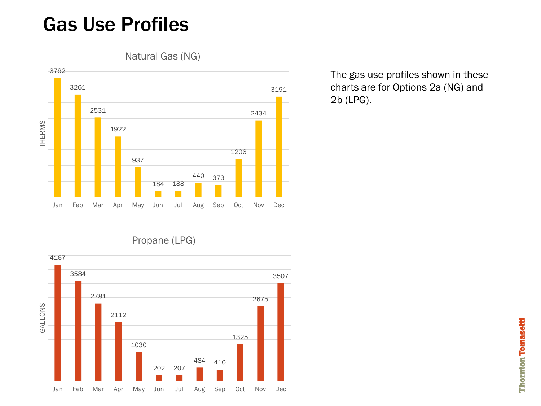### Gas Use Profiles

Natural Gas (NG)



The gas use profiles shown in these charts are for Options 2a (NG) and 2b (LPG).

Propane (LPG)